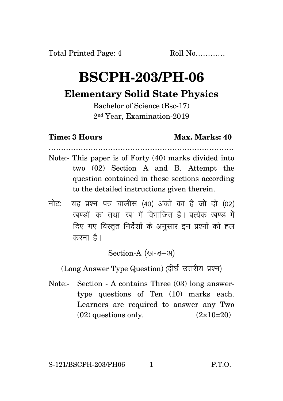## **BSCPH-203/PH-06**

## **Elementary Solid State Physics**

Bachelor of Science (Bsc-17) 2nd Year, Examination-2019

## **Time: 3 Hours Max. Marks: 40**

…………………………………………………………………

- Note:- This paper is of Forty (40) marks divided into two (02) Section A and B. Attempt the question contained in these sections according to the detailed instructions given therein.
- नोट: यह प्रश्न-पत्र चालीस (40) अंकों का है जो दो (02) रवण्डों 'क' तथा 'रव' में विभाजित है। पत्येक रवण्ड में दिए गए विस्तृत निर्देशों के अनुसार इन प्रश्नों को हल करना है।

Section-A (खण्ड-अ)

(Long Answer Type Question) (दीर्घ उत्तरीय प्रश्न)

Note:- Section - A contains Three (03) long answertype questions of Ten (10) marks each. Learners are required to answer any Two  $(02)$  questions only.  $(2 \times 10=20)$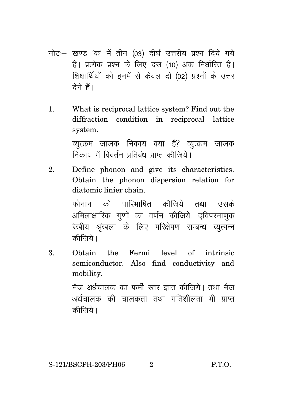- नोट:- खण्ड 'क' में तीन (03) दीर्घ उत्तरीय प्रश्न दिये गये हैं। प्रत्येक प्रश्न के लिए दस (10) अंक निर्धारित हैं। शिक्षार्थियों को इनमें से केवल दो (02) प्रश्नों के उत्तर देने हैं।
- 1. What is reciprocal lattice system? Find out the diffraction condition in reciprocal lattice system.

व्युत्क्रम जालक निकाय क्या है? व्युत्क्रम जालक निकाय में विवर्तन प्रतिबंध पाप्त कीजिये।

2. Define phonon and give its characteristics. Obtain the phonon dispersion relation for diatomic linier chain.

> फोनान को पारिभाषित कीजिये तथा उसके अमिलाक्षारिक गणों का वर्णन कीजिये, दविपरमाणक रेखीय श्रृंखला के लिए परिक्षेपण सम्बन्ध व्युत्पन्न कीज़िये।

3. Obtain the Fermi level of intrinsic semiconductor. Also find conductivity and mobility. नैज अर्धचालक का फर्मी स्तर ज्ञात कीजिये। तथा नैज अर्धचालक की चालकता तथा गतिशीलता भी प्राप्त

कीजिये।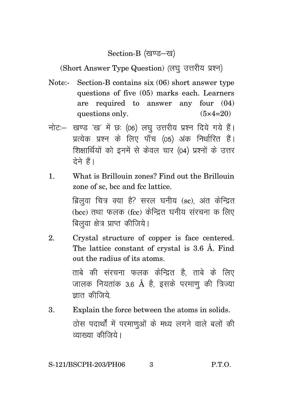Section-B (खण्ड-ख)

(Short Answer Type Question) (लघु उत्तरीय प्रश्न)

- Note:- Section-B contains six (06) short answer type questions of five (05) marks each. Learners are required to answer any four (04) questions only.  $(5 \times 4=20)$
- नोट :- खण्ड 'ख' में छः (06) लघु उत्तरीय प्रश्न दिये गये हैं। प्रत्येक प्रश्न के लिए पाँच (05) अंक निर्धारित हैं। शिक्षार्थियों को इनमें से केवल चार (04) प्रश्नों के उत्तर देने हैं।
- 1. What is Brillouin zones? Find out the Brillouin zone of sc, bcc and fcc lattice.

ब्रिलुवा चित्र क्या है? सरल घनीय (sc), अंत केन्द्रित  $(bcc)$  तथा फलक (fcc) केन्द्रित घनीय संरचना क लिए बिलूवा क्षेत्र प्राप्त कीजिये।

2. Crystal structure of copper is face centered. The lattice constant of crystal is 3.6 Å. Find out the radius of its atoms.

> ताबे की संरचना फलक केन्द्रित है. ताबे के लिए जालक नियतांक 3.6 Å है, इसके परमाणू की त्रिज्या ज्ञात कीजिये

3. Explain the force between the atoms in solids.ठोस पदार्थों में परमाणुओं के मध्य लगने वाले बलों की व्याख्या कीजिये।